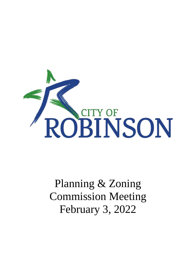

# Planning & Zoning Commission Meeting February 3, 2022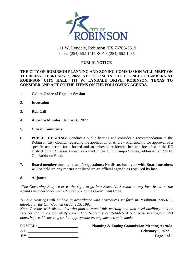

# 111 W. Lyndale, Robinson, TX 76706-5619 Phone (254) 662-1415 ❖ Fax (254) 662-1035

### **PUBLIC NOTICE**

#### **THE CITY OF ROBINSON PLANNING AND ZONING COMMISSION WILL MEET ON THURSDAY, FEBRUARY 3, 2022, AT 6:00 P.M. IN THE COUNCIL CHAMBERS AT ROBINSON CITY HALL, 111 W. LYNDALE DRIVE, ROBINSON, TEXAS TO CONSIDER AND ACT ON THE ITEMS ON THE FOLLOWING AGENDA.**

- 1. **Call to Order of Regular Session**
- 2. **Invocation**
- 3. **Roll Call**
- 4. **Approve Minutes**: January 6, 2022
- 5. **Citizen Comments**
- 6. **PUBLIC HEARING**: Conduct a public hearing and consider a recommendation to the Robinson City Council regarding the application of Andrew Mellencamp for approval of a specific use permit for a hosted and an unhosted residential bed and breakfast in the RE District on 1.946 acres known as a tract in the C. O'Campo Survey, addressed at 724 N. Old Robinson Road.
- 7. **Board member comments and/or questions: No discussion by or with Board members will be held on any matter not listed on an official agenda as required by law.**
- 8. **Adjourn**.

*\*The Governing Body reserves the right to go into Executive Session on any item listed on the Agenda in accordance with Chapter 551 of the Government Code.*

*\*Public Hearings will be held in accordance with procedures set forth in Resolution R-95-011, adopted by the City Council on June 13, 1995.*

*Note: Persons with disabilities who plan to attend this meeting and who need auxiliary aids or services should contact Misty Cryer, City Secretary at 254-662-1415 at least twenty-four (24) hours before this meeting so that appropriate arrangements can be made.*

| <b>POSTED:</b> | <b>Planning &amp; Zoning Commission Meeting Agenda</b> |  |
|----------------|--------------------------------------------------------|--|
| AT:            | February 3, 2022                                       |  |
| BY:            | Page 1 of 1                                            |  |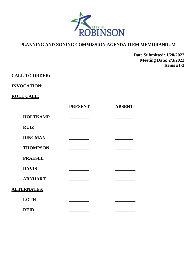

**Date Submitted: 1/28/2022 Meeting Date: 2/3/2022 Items #1-3**

## **CALL TO ORDER:**

## **INVOCATION:**

## **ROLL CALL:**

|                    | <b>PRESENT</b> | <b>ABSENT</b> |
|--------------------|----------------|---------------|
| <b>HOLTKAMP</b>    |                |               |
| <b>RUIZ</b>        |                |               |
| <b>DINGMAN</b>     |                |               |
| <b>THOMPSON</b>    |                |               |
| <b>PRAESEL</b>     |                |               |
| <b>DAVIS</b>       |                |               |
| <b>ARNHART</b>     |                |               |
| <b>ALTERNATES:</b> |                |               |
| <b>LOTH</b>        |                |               |
| <b>REID</b>        |                |               |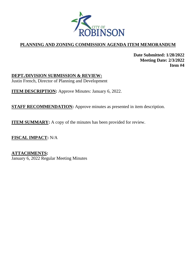

**Date Submitted: 1/28/2022 Meeting Date: 2/3/2022 Item #4**

**DEPT./DIVISION SUBMISSION & REVIEW:** Justin French, Director of Planning and Development

**ITEM DESCRIPTION:** Approve Minutes: January 6, 2022.

**STAFF RECOMMENDATION:** Approve minutes as presented in item description.

**ITEM SUMMARY:** A copy of the minutes has been provided for review.

**FISCAL IMPACT:** N/A

**ATTACHMENTS:** January 6, 2022 Regular Meeting Minutes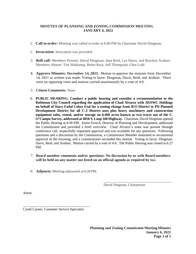#### **MINUTES OF PLANNING AND ZONING COMMISSION MEETING JANUARY 6, 2022**

- 1. **Call to order:** Meeting was called to order at 6:00 PM by Chairman David Dingman.
- 2. **Invocation:** Invocation was provided.
- 3. **Roll call:** Members Present: David Dingman, Jana Reid, Les Davis, and Bracken Arnhart. Members Absent: Tim Holtkamp, Belen Ruiz, Jeff Thompson, Glen Loth
- 4. **Approve Minutes: December 14, 2021.** Motion to approve the minutes from December 14, 2021 as written was made. Voting in favor: Dingman, Davis, Reid, and Arnhart. There were no opposing votes and motion carried unanimously by a vote of 4-0.
- 5. **Citizen Comments:** None.
- 6. **PUBLIC HEARING: Conduct a public hearing and consider a recommendation to the Robinson City Council regarding the application of Chad Alvarez with JHAWC Holdings on behalf of Stacy Fadal Coker Etal for a zoning change from R/O District to PD Planned Development District for all C-2 District uses plus heavy machinery and construction equipment sales, rental, and/or storage on 6.468 acres known as two tracts out of the C. O'Campo Survey, addressed at 4850 S. Loop 340 Highway.** Chairman, David Dingman opened the Public Hearing at 6:00 PM. Justin French, Director of Planning and Development, addressed the Commission and provided a brief overview. Chad Alvarez's team was present through conference call, respectfully requested approval and was available for any questions. Following questions and a discussion by the Commission, a Commission Member motioned to recommend approval of the rezoning, and a commissioner seconded this motion. Voting in favor: Dingman, Davis, Reid, and Arnhart. Motion carried by a vote of 4-0. The Public Hearing was closed at 6:27 PM.
- 7. **Board member comments and/or questions: No discussion by or with Board members will be held on any matter not listed on an official agenda as required by law**.
- 8. **Adjourn:** Meeting adjourned at 6:28 PM.

David Dingman, Chairperson

\_\_\_\_\_\_\_\_\_\_\_\_\_\_\_\_\_\_\_\_\_\_\_\_\_\_\_\_\_\_\_\_\_\_\_\_\_\_\_

Attest:

Cyndi Carnes, Customer Service Specialist

\_\_\_\_\_\_\_\_\_\_\_\_\_\_\_\_\_\_\_\_\_\_\_\_\_\_\_\_\_\_\_\_\_\_\_\_\_\_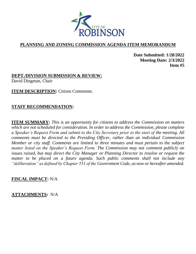

**Date Submitted: 1/28/2022 Meeting Date: 2/3/2022 Item #5**

**DEPT./DIVISION SUBMISSION & REVIEW:** David Dingman, Chair

**ITEM DESCRIPTION:** Citizen Comments.

## **STAFF RECOMMENDATION:**

**ITEM SUMMARY:** *This is an opportunity for citizens to address the Commission on matters which are not scheduled for consideration. In order to address the Commission, please complete a Speaker's Request Form and submit to the City Secretary prior to the start of the meeting. All comments must be directed to the Presiding Officer, rather than an individual Commission Member or city staff. Comments are limited to three minutes and must pertain to the subject matter listed on the Speaker's Request Form. The Commission may not comment publicly on issues raised, but may direct the City Manager or Planning Director to resolve or request the matter to be placed on a future agenda. Such public comments shall not include any "deliberation" as defined by Chapter 551 of the Government Code, as now or hereafter amended.* 

## **FISCAL IMPACT:** N/A

## **ATTACHMENTS:** N/A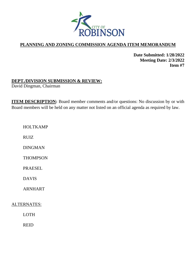

**Date Submitted: 1/28/2022 Meeting Date: 2/3/2022 Item #7**

## **DEPT./DIVISION SUBMISSION & REVIEW:**

David Dingman, Chairman

**ITEM DESCRIPTION:** Board member comments and/or questions: No discussion by or with Board members will be held on any matter not listed on an official agenda as required by law.

HOLTKAMP

RUIZ

DINGMAN

**THOMPSON** 

PRAESEL

DAVIS

ARNHART

ALTERNATES:

LOTH

REID